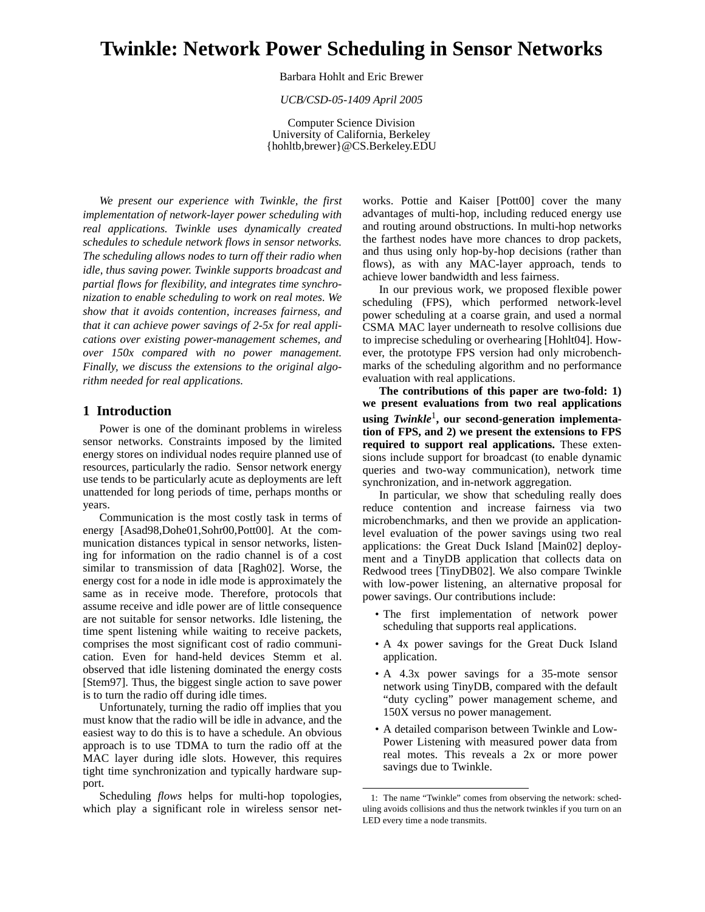# **Twinkle: Network Power Scheduling in Sensor Networks**

### Barbara Hohlt and Eric Brewer

*UCB/CSD-05-1409 April 2005*

Computer Science Division University of California, Berkeley {hohltb,brewer}@CS.Berkeley.EDU

*We present our experience with Twinkle, the first implementation of network-layer power scheduling with real applications. Twinkle uses dynamically created schedules to schedule network flows in sensor networks. The scheduling allows nodes to turn off their radio when idle, thus saving power. Twinkle supports broadcast and partial flows for flexibility, and integrates time synchronization to enable scheduling to work on real motes. We show that it avoids contention, increases fairness, and that it can achieve power savings of 2-5x for real applications over existing power-management schemes, and over 150x compared with no power management. Finally, we discuss the extensions to the original algorithm needed for real applications.*

# **1 Introduction**

Power is one of the dominant problems in wireless sensor networks. Constraints imposed by the limited energy stores on individual nodes require planned use of resources, particularly the radio. Sensor network energy use tends to be particularly acute as deployments are left unattended for long periods of time, perhaps months or years.

Communication is the most costly task in terms of energy [Asad98,Dohe01,Sohr00,Pott00]. At the communication distances typical in sensor networks, listening for information on the radio channel is of a cost similar to transmission of data [Ragh02]. Worse, the energy cost for a node in idle mode is approximately the same as in receive mode. Therefore, protocols that assume receive and idle power are of little consequence are not suitable for sensor networks. Idle listening, the time spent listening while waiting to receive packets, comprises the most significant cost of radio communication. Even for hand-held devices Stemm et al. observed that idle listening dominated the energy costs [Stem97]. Thus, the biggest single action to save power is to turn the radio off during idle times.

Unfortunately, turning the radio off implies that you must know that the radio will be idle in advance, and the easiest way to do this is to have a schedule. An obvious approach is to use TDMA to turn the radio off at the MAC layer during idle slots. However, this requires tight time synchronization and typically hardware support.

Scheduling *flows* helps for multi-hop topologies, which play a significant role in wireless sensor networks. Pottie and Kaiser [Pott00] cover the many advantages of multi-hop, including reduced energy use and routing around obstructions. In multi-hop networks the farthest nodes have more chances to drop packets, and thus using only hop-by-hop decisions (rather than flows), as with any MAC-layer approach, tends to achieve lower bandwidth and less fairness.

In our previous work, we proposed flexible power scheduling (FPS), which performed network-level power scheduling at a coarse grain, and used a normal CSMA MAC layer underneath to resolve collisions due to imprecise scheduling or overhearing [Hohlt04]. However, the prototype FPS version had only microbenchmarks of the scheduling algorithm and no performance evaluation with real applications.

**The contributions of this paper are two-fold: 1) we present evaluations from two real applications** using *Twinkle*<sup>1</sup>, our second-generation implementa**tion of FPS, and 2) we present the extensions to FPS required to support real applications.** These extensions include support for broadcast (to enable dynamic queries and two-way communication), network time synchronization, and in-network aggregation.

In particular, we show that scheduling really does reduce contention and increase fairness via two microbenchmarks, and then we provide an applicationlevel evaluation of the power savings using two real applications: the Great Duck Island [Main02] deployment and a TinyDB application that collects data on Redwood trees [TinyDB02]. We also compare Twinkle with low-power listening, an alternative proposal for power savings. Our contributions include:

- The first implementation of network power scheduling that supports real applications.
- A 4x power savings for the Great Duck Island application.
- A 4.3x power savings for a 35-mote sensor network using TinyDB, compared with the default "duty cycling" power management scheme, and 150X versus no power management.
- A detailed comparison between Twinkle and Low-Power Listening with measured power data from real motes. This reveals a 2x or more power savings due to Twinkle.

<sup>1:</sup> The name "Twinkle" comes from observing the network: scheduling avoids collisions and thus the network twinkles if you turn on an LED every time a node transmits.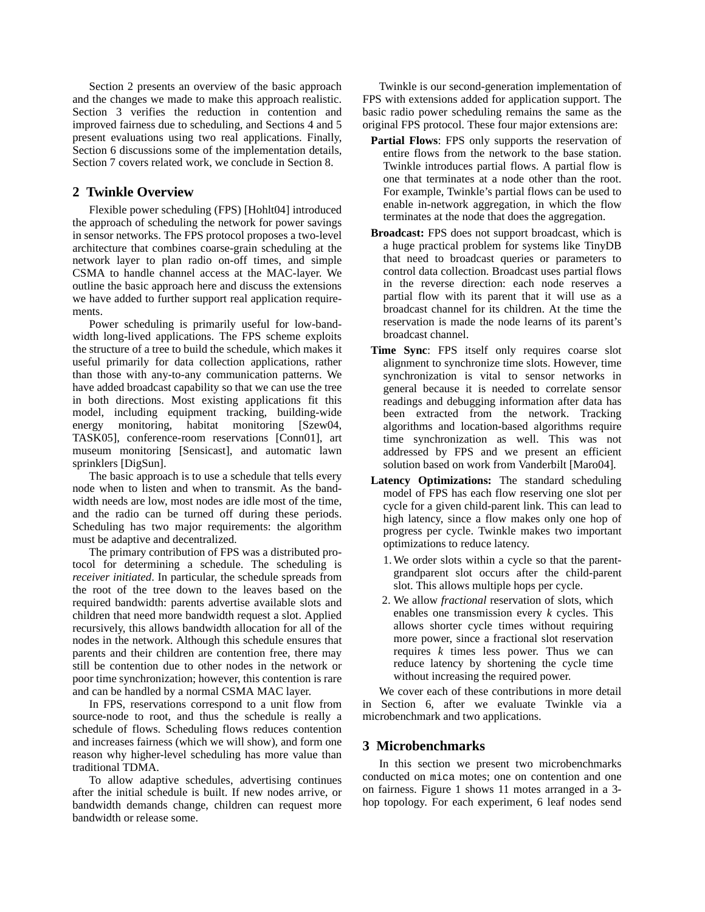[Section 2](#page-1-0) presents an overview of the basic approach and the changes we made to make this approach realistic. [Section 3](#page-1-1) verifies the reduction in contention and improved fairness due to scheduling, and Sections 4 and 5 present evaluations using two real applications. Finally, [Section 6](#page-9-0) discussions some of the implementation details, [Section 7](#page-10-0) covers related work, we conclude in [Section 8](#page-11-0).

# <span id="page-1-0"></span>**2 Twinkle Overview**

Flexible power scheduling (FPS) [Hohlt04] introduced the approach of scheduling the network for power savings in sensor networks. The FPS protocol proposes a two-level architecture that combines coarse-grain scheduling at the network layer to plan radio on-off times, and simple CSMA to handle channel access at the MAC-layer. We outline the basic approach here and discuss the extensions we have added to further support real application requirements.

Power scheduling is primarily useful for low-bandwidth long-lived applications. The FPS scheme exploits the structure of a tree to build the schedule, which makes it useful primarily for data collection applications, rather than those with any-to-any communication patterns. We have added broadcast capability so that we can use the tree in both directions. Most existing applications fit this model, including equipment tracking, building-wide energy monitoring, habitat monitoring [Szew04, TASK05], conference-room reservations [Conn01], art museum monitoring [Sensicast], and automatic lawn sprinklers [DigSun].

The basic approach is to use a schedule that tells every node when to listen and when to transmit. As the bandwidth needs are low, most nodes are idle most of the time, and the radio can be turned off during these periods. Scheduling has two major requirements: the algorithm must be adaptive and decentralized.

The primary contribution of FPS was a distributed protocol for determining a schedule. The scheduling is *receiver initiated*. In particular, the schedule spreads from the root of the tree down to the leaves based on the required bandwidth: parents advertise available slots and children that need more bandwidth request a slot. Applied recursively, this allows bandwidth allocation for all of the nodes in the network. Although this schedule ensures that parents and their children are contention free, there may still be contention due to other nodes in the network or poor time synchronization; however, this contention is rare and can be handled by a normal CSMA MAC layer.

In FPS, reservations correspond to a unit flow from source-node to root, and thus the schedule is really a schedule of flows. Scheduling flows reduces contention and increases fairness (which we will show), and form one reason why higher-level scheduling has more value than traditional TDMA.

To allow adaptive schedules, advertising continues after the initial schedule is built. If new nodes arrive, or bandwidth demands change, children can request more bandwidth or release some.

Twinkle is our second-generation implementation of FPS with extensions added for application support. The basic radio power scheduling remains the same as the original FPS protocol. These four major extensions are:

- **Partial Flows**: FPS only supports the reservation of entire flows from the network to the base station. Twinkle introduces partial flows. A partial flow is one that terminates at a node other than the root. For example, Twinkle's partial flows can be used to enable in-network aggregation, in which the flow terminates at the node that does the aggregation.
- **Broadcast:** FPS does not support broadcast, which is a huge practical problem for systems like TinyDB that need to broadcast queries or parameters to control data collection. Broadcast uses partial flows in the reverse direction: each node reserves a partial flow with its parent that it will use as a broadcast channel for its children. At the time the reservation is made the node learns of its parent's broadcast channel.
- **Time Sync**: FPS itself only requires coarse slot alignment to synchronize time slots. However, time synchronization is vital to sensor networks in general because it is needed to correlate sensor readings and debugging information after data has been extracted from the network. Tracking algorithms and location-based algorithms require time synchronization as well. This was not addressed by FPS and we present an efficient solution based on work from Vanderbilt [Maro04].
- **Latency Optimizations:** The standard scheduling model of FPS has each flow reserving one slot per cycle for a given child-parent link. This can lead to high latency, since a flow makes only one hop of progress per cycle. Twinkle makes two important optimizations to reduce latency.
	- 1. We order slots within a cycle so that the parentgrandparent slot occurs after the child-parent slot. This allows multiple hops per cycle.
	- 2. We allow *fractional* reservation of slots, which enables one transmission every *k* cycles. This allows shorter cycle times without requiring more power, since a fractional slot reservation requires *k* times less power. Thus we can reduce latency by shortening the cycle time without increasing the required power.

We cover each of these contributions in more detail in [Section 6,](#page-9-0) after we evaluate Twinkle via a microbenchmark and two applications.

# <span id="page-1-1"></span>**3 Microbenchmarks**

In this section we present two microbenchmarks conducted on mica motes; one on contention and one on fairness. [Figure 1](#page-2-0) shows 11 motes arranged in a 3 hop topology. For each experiment, 6 leaf nodes send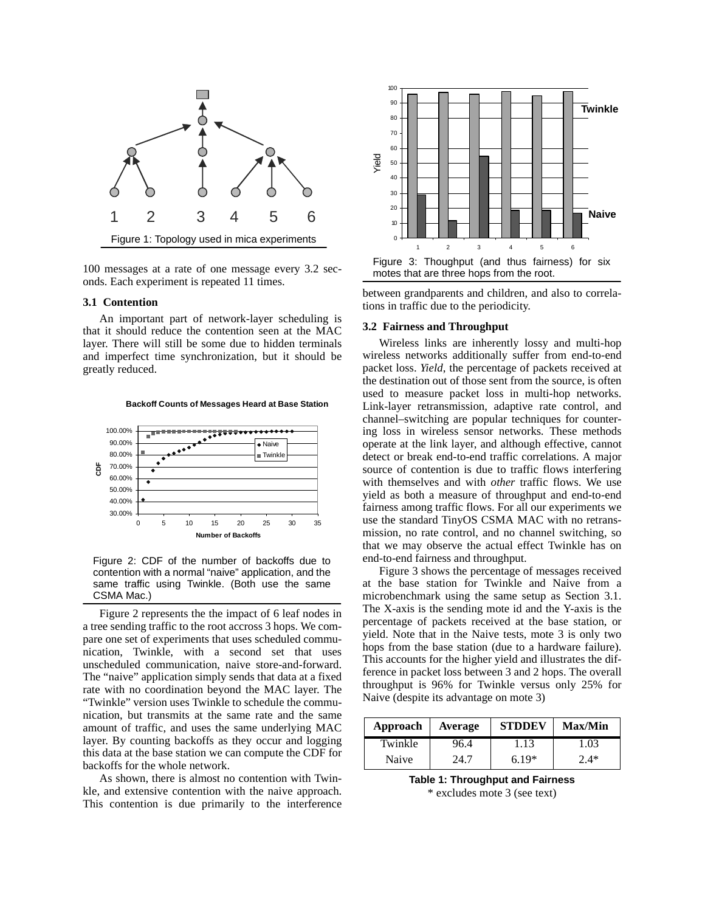

<span id="page-2-0"></span>100 messages at a rate of one message every 3.2 seconds. Each experiment is repeated 11 times.

#### <span id="page-2-3"></span>**3.1 Contention**

An important part of network-layer scheduling is that it should reduce the contention seen at the MAC layer. There will still be some due to hidden terminals and imperfect time synchronization, but it should be greatly reduced.





<span id="page-2-1"></span>Figure 2: CDF of the number of backoffs due to contention with a normal "naive" application, and the same traffic using Twinkle. (Both use the same CSMA Mac.)

[Figure 2](#page-2-1) represents the the impact of 6 leaf nodes in a tree sending traffic to the root accross 3 hops. We compare one set of experiments that uses scheduled communication, Twinkle, with a second set that uses unscheduled communication, naive store-and-forward. The "naive" application simply sends that data at a fixed rate with no coordination beyond the MAC layer. The "Twinkle" version uses Twinkle to schedule the communication, but transmits at the same rate and the same amount of traffic, and uses the same underlying MAC layer. By counting backoffs as they occur and logging this data at the base station we can compute the CDF for backoffs for the whole network.

As shown, there is almost no contention with Twinkle, and extensive contention with the naive approach. This contention is due primarily to the interference



<span id="page-2-2"></span>between grandparents and children, and also to correlations in traffic due to the periodicity.

#### **3.2 Fairness and Throughput**

Wireless links are inherently lossy and multi-hop wireless networks additionally suffer from end-to-end packet loss. *Yield*, the percentage of packets received at the destination out of those sent from the source, is often used to measure packet loss in multi-hop networks. Link-layer retransmission, adaptive rate control, and channel–switching are popular techniques for countering loss in wireless sensor networks*.* These methods operate at the link layer, and although effective, cannot detect or break end-to-end traffic correlations. A major source of contention is due to traffic flows interfering with themselves and with *other* traffic flows. We use yield as both a measure of throughput and end-to-end fairness among traffic flows. For all our experiments we use the standard TinyOS CSMA MAC with no retransmission, no rate control, and no channel switching, so that we may observe the actual effect Twinkle has on end-to-end fairness and throughput.

[Figure 3](#page-2-2) shows the percentage of messages received at the base station for Twinkle and Naive from a microbenchmark using the same setup as [Section 3.1](#page-2-3). The X-axis is the sending mote id and the Y-axis is the percentage of packets received at the base station, or yield. Note that in the Naive tests, mote 3 is only two hops from the base station (due to a hardware failure). This accounts for the higher yield and illustrates the difference in packet loss between 3 and 2 hops. The overall throughput is 96% for Twinkle versus only 25% for Naive (despite its advantage on mote 3)

| Approach | Average | <b>STDDEV</b> | Max/Min |
|----------|---------|---------------|---------|
| Twinkle  | 96.4    | 1.13          | 1.03    |
| Naive    | 24.7    | $6.19*$       | $2.4*$  |

<span id="page-2-4"></span>**Table 1: Throughput and Fairness** \* excludes mote 3 (see text)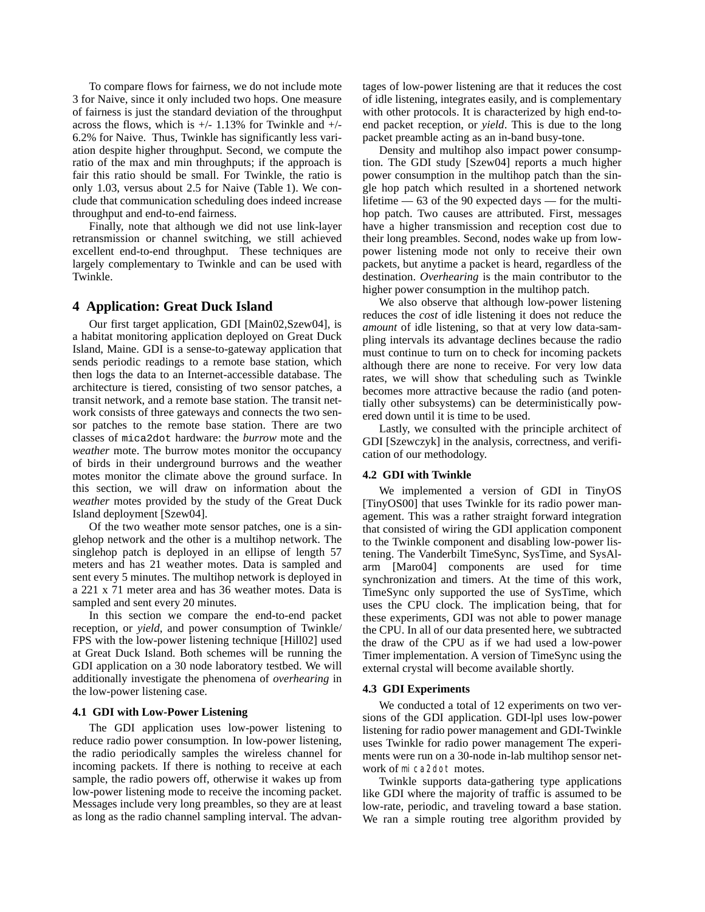To compare flows for fairness, we do not include mote 3 for Naive, since it only included two hops. One measure of fairness is just the standard deviation of the throughput across the flows, which is  $+/- 1.13\%$  for Twinkle and  $+/-$ 6.2% for Naive. Thus, Twinkle has significantly less variation despite higher throughput. Second, we compute the ratio of the max and min throughputs; if the approach is fair this ratio should be small. For Twinkle, the ratio is only 1.03, versus about 2.5 for Naive ([Table 1](#page-2-4)). We conclude that communication scheduling does indeed increase throughput and end-to-end fairness.

Finally, note that although we did not use link-layer retransmission or channel switching, we still achieved excellent end-to-end throughput. These techniques are largely complementary to Twinkle and can be used with Twinkle.

# **4 Application: Great Duck Island**

Our first target application, GDI [Main02,Szew04], is a habitat monitoring application deployed on Great Duck Island, Maine. GDI is a sense-to-gateway application that sends periodic readings to a remote base station, which then logs the data to an Internet-accessible database. The architecture is tiered, consisting of two sensor patches, a transit network, and a remote base station. The transit network consists of three gateways and connects the two sensor patches to the remote base station. There are two classes of mica2dot hardware: the *burrow* mote and the *weather* mote. The burrow motes monitor the occupancy of birds in their underground burrows and the weather motes monitor the climate above the ground surface. In this section, we will draw on information about the *weather* motes provided by the study of the Great Duck Island deployment [Szew04].

Of the two weather mote sensor patches, one is a singlehop network and the other is a multihop network. The singlehop patch is deployed in an ellipse of length 57 meters and has 21 weather motes. Data is sampled and sent every 5 minutes. The multihop network is deployed in a 221 x 71 meter area and has 36 weather motes. Data is sampled and sent every 20 minutes.

In this section we compare the end-to-end packet reception, or *yield*, and power consumption of Twinkle/ FPS with the low-power listening technique [Hill02] used at Great Duck Island. Both schemes will be running the GDI application on a 30 node laboratory testbed. We will additionally investigate the phenomena of *overhearing* in the low-power listening case.

#### **4.1 GDI with Low-Power Listening**

The GDI application uses low-power listening to reduce radio power consumption. In low-power listening, the radio periodically samples the wireless channel for incoming packets. If there is nothing to receive at each sample, the radio powers off, otherwise it wakes up from low-power listening mode to receive the incoming packet. Messages include very long preambles, so they are at least as long as the radio channel sampling interval. The advan-

tages of low-power listening are that it reduces the cost of idle listening, integrates easily, and is complementary with other protocols. It is characterized by high end-toend packet reception, or *yield*. This is due to the long packet preamble acting as an in-band busy-tone.

Density and multihop also impact power consumption. The GDI study [Szew04] reports a much higher power consumption in the multihop patch than the single hop patch which resulted in a shortened network lifetime — 63 of the 90 expected days — for the multihop patch. Two causes are attributed. First, messages have a higher transmission and reception cost due to their long preambles. Second, nodes wake up from lowpower listening mode not only to receive their own packets, but anytime a packet is heard, regardless of the destination. *Overhearing* is the main contributor to the higher power consumption in the multihop patch.

We also observe that although low-power listening reduces the *cost* of idle listening it does not reduce the *amount* of idle listening, so that at very low data-sampling intervals its advantage declines because the radio must continue to turn on to check for incoming packets although there are none to receive. For very low data rates, we will show that scheduling such as Twinkle becomes more attractive because the radio (and potentially other subsystems) can be deterministically powered down until it is time to be used.

Lastly, we consulted with the principle architect of GDI [Szewczyk] in the analysis, correctness, and verification of our methodology.

#### **4.2 GDI with Twinkle**

We implemented a version of GDI in TinyOS [TinyOS00] that uses Twinkle for its radio power management. This was a rather straight forward integration that consisted of wiring the GDI application component to the Twinkle component and disabling low-power listening. The Vanderbilt TimeSync, SysTime, and SysAlarm [Maro04] components are used for time synchronization and timers. At the time of this work, TimeSync only supported the use of SysTime, which uses the CPU clock. The implication being, that for these experiments, GDI was not able to power manage the CPU. In all of our data presented here, we subtracted the draw of the CPU as if we had used a low-power Timer implementation. A version of TimeSync using the external crystal will become available shortly.

#### **4.3 GDI Experiments**

We conducted a total of 12 experiments on two versions of the GDI application. GDI-lpl uses low-power listening for radio power management and GDI-Twinkle uses Twinkle for radio power management The experiments were run on a 30-node in-lab multihop sensor network of mica2dot motes.

Twinkle supports data-gathering type applications like GDI where the majority of traffic is assumed to be low-rate, periodic, and traveling toward a base station. We ran a simple routing tree algorithm provided by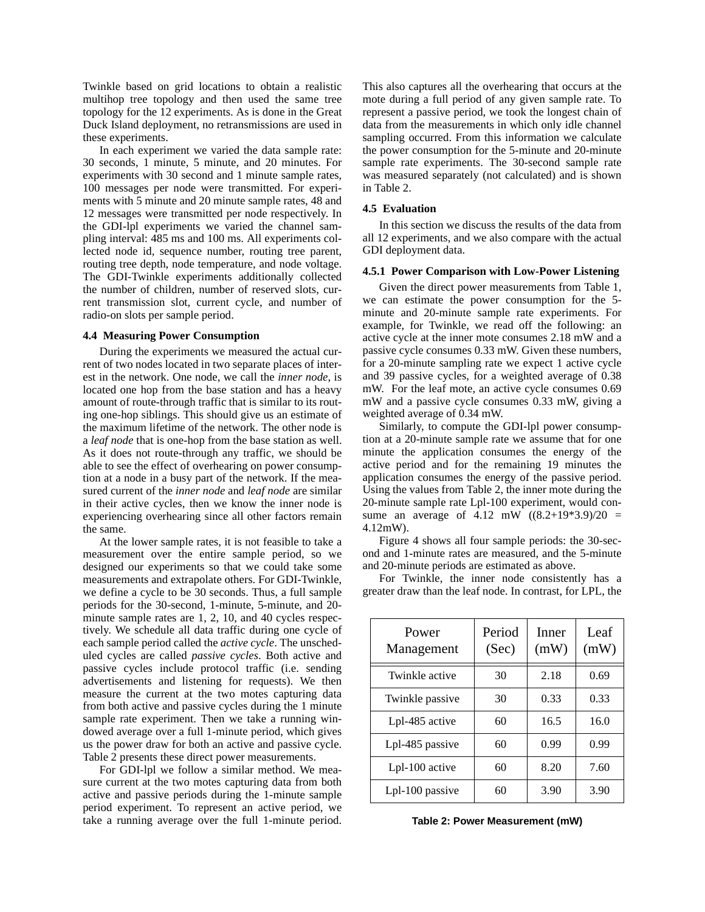Twinkle based on grid locations to obtain a realistic multihop tree topology and then used the same tree topology for the 12 experiments. As is done in the Great Duck Island deployment, no retransmissions are used in these experiments.

In each experiment we varied the data sample rate: 30 seconds, 1 minute, 5 minute, and 20 minutes. For experiments with 30 second and 1 minute sample rates, 100 messages per node were transmitted. For experiments with 5 minute and 20 minute sample rates, 48 and 12 messages were transmitted per node respectively. In the GDI-lpl experiments we varied the channel sampling interval: 485 ms and 100 ms. All experiments collected node id, sequence number, routing tree parent, routing tree depth, node temperature, and node voltage. The GDI-Twinkle experiments additionally collected the number of children, number of reserved slots, current transmission slot, current cycle, and number of radio-on slots per sample period.

#### **4.4 Measuring Power Consumption**

During the experiments we measured the actual current of two nodes located in two separate places of interest in the network. One node, we call the *inner node*, is located one hop from the base station and has a heavy amount of route-through traffic that is similar to its routing one-hop siblings. This should give us an estimate of the maximum lifetime of the network. The other node is a *leaf node* that is one-hop from the base station as well. As it does not route-through any traffic, we should be able to see the effect of overhearing on power consumption at a node in a busy part of the network. If the measured current of the *inner node* and *leaf node* are similar in their active cycles, then we know the inner node is experiencing overhearing since all other factors remain the same.

At the lower sample rates, it is not feasible to take a measurement over the entire sample period, so we designed our experiments so that we could take some measurements and extrapolate others. For GDI-Twinkle, we define a cycle to be 30 seconds. Thus, a full sample periods for the 30-second, 1-minute, 5-minute, and 20 minute sample rates are 1, 2, 10, and 40 cycles respectively. We schedule all data traffic during one cycle of each sample period called the *active cycle*. The unscheduled cycles are called *passive cycles*. Both active and passive cycles include protocol traffic (i.e. sending advertisements and listening for requests). We then measure the current at the two motes capturing data from both active and passive cycles during the 1 minute sample rate experiment. Then we take a running windowed average over a full 1-minute period, which gives us the power draw for both an active and passive cycle. [Table 2](#page-4-0) presents these direct power measurements.

For GDI-lpl we follow a similar method. We measure current at the two motes capturing data from both active and passive periods during the 1-minute sample period experiment. To represent an active period, we take a running average over the full 1-minute period.

This also captures all the overhearing that occurs at the mote during a full period of any given sample rate. To represent a passive period, we took the longest chain of data from the measurements in which only idle channel sampling occurred. From this information we calculate the power consumption for the 5-minute and 20-minute sample rate experiments. The 30-second sample rate was measured separately (not calculated) and is shown in [Table 2.](#page-4-0)

#### **4.5 Evaluation**

In this section we discuss the results of the data from all 12 experiments, and we also compare with the actual GDI deployment data.

#### **4.5.1 Power Comparison with Low-Power Listening**

Given the direct power measurements from Table 1, we can estimate the power consumption for the 5 minute and 20-minute sample rate experiments. For example, for Twinkle, we read off the following: an active cycle at the inner mote consumes 2.18 mW and a passive cycle consumes 0.33 mW. Given these numbers, for a 20-minute sampling rate we expect 1 active cycle and 39 passive cycles, for a weighted average of 0.38 mW. For the leaf mote, an active cycle consumes 0.69 mW and a passive cycle consumes 0.33 mW, giving a weighted average of 0.34 mW.

Similarly, to compute the GDI-lpl power consumption at a 20-minute sample rate we assume that for one minute the application consumes the energy of the active period and for the remaining 19 minutes the application consumes the energy of the passive period. Using the values from [Table 2,](#page-4-0) the inner mote during the 20-minute sample rate Lpl-100 experiment, would consume an average of 4.12 mW  $((8.2+19*3.9)/20 =$ 4.12mW).

[Figure 4](#page-5-0) shows all four sample periods: the 30-second and 1-minute rates are measured, and the 5-minute and 20-minute periods are estimated as above.

For Twinkle, the inner node consistently has a greater draw than the leaf node. In contrast, for LPL, the

| Power<br>Management | Period<br>(Sec) | Inner<br>(mW) | Leaf<br>(mW) |
|---------------------|-----------------|---------------|--------------|
| Twinkle active      | 30              | 2.18          | 0.69         |
| Twinkle passive     | 30              | 0.33          | 0.33         |
| Lpl-485 active      | 60              | 16.5          | 16.0         |
| Lpl-485 passive     | 60              | 0.99          | 0.99         |
| Lpl-100 active      | 60              | 8.20          | 7.60         |
| Lpl-100 passive     | 60              | 3.90          | 3.90         |

<span id="page-4-0"></span>**Table 2: Power Measurement (mW)**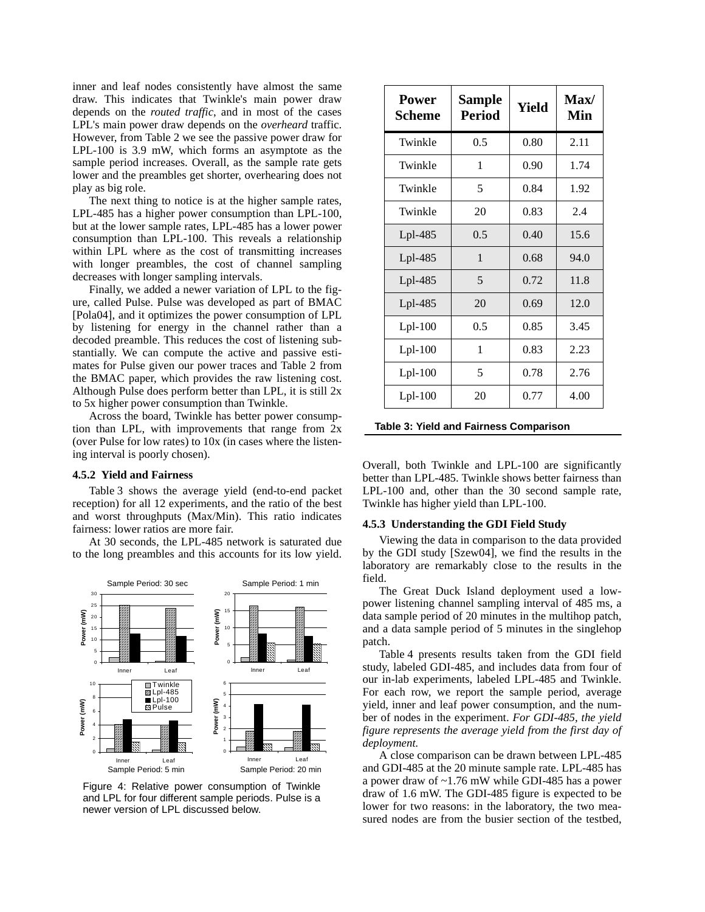inner and leaf nodes consistently have almost the same draw. This indicates that Twinkle's main power draw depends on the *routed traffic*, and in most of the cases LPL's main power draw depends on the *overheard* traffic. However, from [Table 2](#page-4-0) we see the passive power draw for LPL-100 is 3.9 mW, which forms an asymptote as the sample period increases. Overall, as the sample rate gets lower and the preambles get shorter, overhearing does not play as big role.

The next thing to notice is at the higher sample rates, LPL-485 has a higher power consumption than LPL-100, but at the lower sample rates, LPL-485 has a lower power consumption than LPL-100. This reveals a relationship within LPL where as the cost of transmitting increases with longer preambles, the cost of channel sampling decreases with longer sampling intervals.

Finally, we added a newer variation of LPL to the figure, called Pulse. Pulse was developed as part of BMAC [Pola04], and it optimizes the power consumption of LPL by listening for energy in the channel rather than a decoded preamble. This reduces the cost of listening substantially. We can compute the active and passive estimates for Pulse given our power traces and Table 2 from the BMAC paper, which provides the raw listening cost. Although Pulse does perform better than LPL, it is still 2x to 5x higher power consumption than Twinkle.

Across the board, Twinkle has better power consumption than LPL, with improvements that range from 2x (over Pulse for low rates) to 10x (in cases where the listening interval is poorly chosen).

#### **4.5.2 Yield and Fairness**

[Table 3](#page-5-1) shows the average yield (end-to-end packet reception) for all 12 experiments, and the ratio of the best and worst throughputs (Max/Min). This ratio indicates fairness: lower ratios are more fair.

At 30 seconds, the LPL-485 network is saturated due to the long preambles and this accounts for its low yield.



<span id="page-5-0"></span>Figure 4: Relative power consumption of Twinkle and LPL for four different sample periods. Pulse is a newer version of LPL discussed below.

| <b>Power</b><br>Scheme | Sample<br><b>Period</b> | Yield | Max/<br>Min |
|------------------------|-------------------------|-------|-------------|
| Twinkle                | 0.5                     | 0.80  | 2.11        |
| Twinkle                | 1                       | 0.90  | 1.74        |
| Twinkle                | 5                       | 0.84  | 1.92        |
| Twinkle                | 20                      | 0.83  | 2.4         |
| Lpl-485                | 0.5                     | 0.40  | 15.6        |
| Lpl-485                | $\mathbf{1}$            | 0.68  | 94.0        |
| Lpl-485                | 5                       | 0.72  | 11.8        |
| Lpl-485                | 20                      | 0.69  | 12.0        |
| $Lpl-100$              | 0.5                     | 0.85  | 3.45        |
| $Lpl-100$              | 1                       | 0.83  | 2.23        |
| $Lpl-100$              | 5                       | 0.78  | 2.76        |
| $Lpl-100$              | 20                      | 0.77  | 4.00        |

<span id="page-5-1"></span>

|  | <b>Table 3: Yield and Fairness Comparison</b> |  |
|--|-----------------------------------------------|--|
|--|-----------------------------------------------|--|

Overall, both Twinkle and LPL-100 are significantly better than LPL-485. Twinkle shows better fairness than LPL-100 and, other than the 30 second sample rate, Twinkle has higher yield than LPL-100.

#### **4.5.3 Understanding the GDI Field Study**

Viewing the data in comparison to the data provided by the GDI study [Szew04], we find the results in the laboratory are remarkably close to the results in the field.

The Great Duck Island deployment used a lowpower listening channel sampling interval of 485 ms, a data sample period of 20 minutes in the multihop patch, and a data sample period of 5 minutes in the singlehop patch.

[Table 4](#page-6-0) presents results taken from the GDI field study, labeled GDI-485, and includes data from four of our in-lab experiments, labeled LPL-485 and Twinkle. For each row, we report the sample period, average yield, inner and leaf power consumption, and the number of nodes in the experiment. *For GDI-485, the yield figure represents the average yield from the first day of deployment.*

A close comparison can be drawn between LPL-485 and GDI-485 at the 20 minute sample rate. LPL-485 has a power draw of ~1.76 mW while GDI-485 has a power draw of 1.6 mW. The GDI-485 figure is expected to be lower for two reasons: in the laboratory, the two measured nodes are from the busier section of the testbed,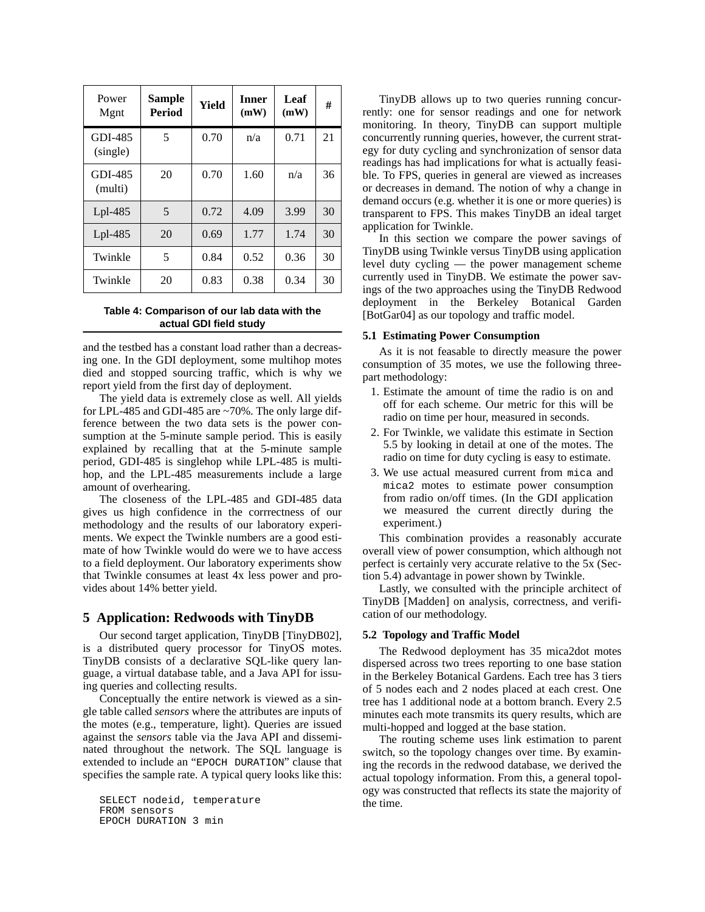| Power<br>Mgnt             | Sample<br><b>Period</b> | Yield | <b>Inner</b><br>(mW) | Leaf<br>(mW) | #  |
|---------------------------|-------------------------|-------|----------------------|--------------|----|
| GDI-485<br>(single)       | 5                       | 0.70  | n/a                  | 0.71         | 21 |
| <b>GDI-485</b><br>(multi) | 20                      | 0.70  | 1.60                 | n/a          | 36 |
| $Lpl-485$                 | 5                       | 0.72  | 4.09                 | 3.99         | 30 |
| $Lpl-485$                 | 20                      | 0.69  | 1.77                 | 1.74         | 30 |
| Twinkle                   | 5                       | 0.84  | 0.52                 | 0.36         | 30 |
| Twinkle                   | 20                      | 0.83  | 0.38                 | 0.34         | 30 |

### <span id="page-6-0"></span>**Table 4: Comparison of our lab data with the actual GDI field study**

and the testbed has a constant load rather than a decreasing one. In the GDI deployment, some multihop motes died and stopped sourcing traffic, which is why we report yield from the first day of deployment.

The yield data is extremely close as well. All yields for LPL-485 and GDI-485 are ~70%. The only large difference between the two data sets is the power consumption at the 5-minute sample period. This is easily explained by recalling that at the 5-minute sample period, GDI-485 is singlehop while LPL-485 is multihop, and the LPL-485 measurements include a large amount of overhearing.

The closeness of the LPL-485 and GDI-485 data gives us high confidence in the corrrectness of our methodology and the results of our laboratory experiments. We expect the Twinkle numbers are a good estimate of how Twinkle would do were we to have access to a field deployment. Our laboratory experiments show that Twinkle consumes at least 4x less power and provides about 14% better yield.

# **5 Application: Redwoods with TinyDB**

Our second target application, TinyDB [TinyDB02], is a distributed query processor for TinyOS motes. TinyDB consists of a declarative SQL-like query language, a virtual database table, and a Java API for issuing queries and collecting results.

Conceptually the entire network is viewed as a single table called *sensors* where the attributes are inputs of the motes (e.g., temperature, light). Queries are issued against the *sensors* table via the Java API and disseminated throughout the network. The SQL language is extended to include an "EPOCH DURATION" clause that specifies the sample rate. A typical query looks like this:

SELECT nodeid, temperature FROM sensors EPOCH DURATION 3 min

TinyDB allows up to two queries running concurrently: one for sensor readings and one for network monitoring. In theory, TinyDB can support multiple concurrently running queries, however, the current strategy for duty cycling and synchronization of sensor data readings has had implications for what is actually feasible. To FPS, queries in general are viewed as increases or decreases in demand. The notion of why a change in demand occurs (e.g. whether it is one or more queries) is transparent to FPS. This makes TinyDB an ideal target application for Twinkle.

In this section we compare the power savings of TinyDB using Twinkle versus TinyDB using application level duty cycling — the power management scheme currently used in TinyDB. We estimate the power savings of the two approaches using the TinyDB Redwood deployment in the Berkeley Botanical Garden [BotGar04] as our topology and traffic model.

#### **5.1 Estimating Power Consumption**

As it is not feasable to directly measure the power consumption of 35 motes, we use the following threepart methodology:

- 1. Estimate the amount of time the radio is on and off for each scheme. Our metric for this will be radio on time per hour, measured in seconds.
- 2. For Twinkle, we validate this estimate in [Section](#page-7-0) [5.5](#page-7-0) by looking in detail at one of the motes. The radio on time for duty cycling is easy to estimate.
- 3. We use actual measured current from mica and mica2 motes to estimate power consumption from radio on/off times. (In the GDI application we measured the current directly during the experiment.)

This combination provides a reasonably accurate overall view of power consumption, which although not perfect is certainly very accurate relative to the 5x [\(Sec](#page-7-1)[tion 5.4\)](#page-7-1) advantage in power shown by Twinkle.

Lastly, we consulted with the principle architect of TinyDB [Madden] on analysis, correctness, and verification of our methodology.

#### **5.2 Topology and Traffic Model**

The Redwood deployment has 35 mica2dot motes dispersed across two trees reporting to one base station in the Berkeley Botanical Gardens. Each tree has 3 tiers of 5 nodes each and 2 nodes placed at each crest. One tree has 1 additional node at a bottom branch. Every 2.5 minutes each mote transmits its query results, which are multi-hopped and logged at the base station.

The routing scheme uses link estimation to parent switch, so the topology changes over time. By examining the records in the redwood database, we derived the actual topology information. From this, a general topology was constructed that reflects its state the majority of the time.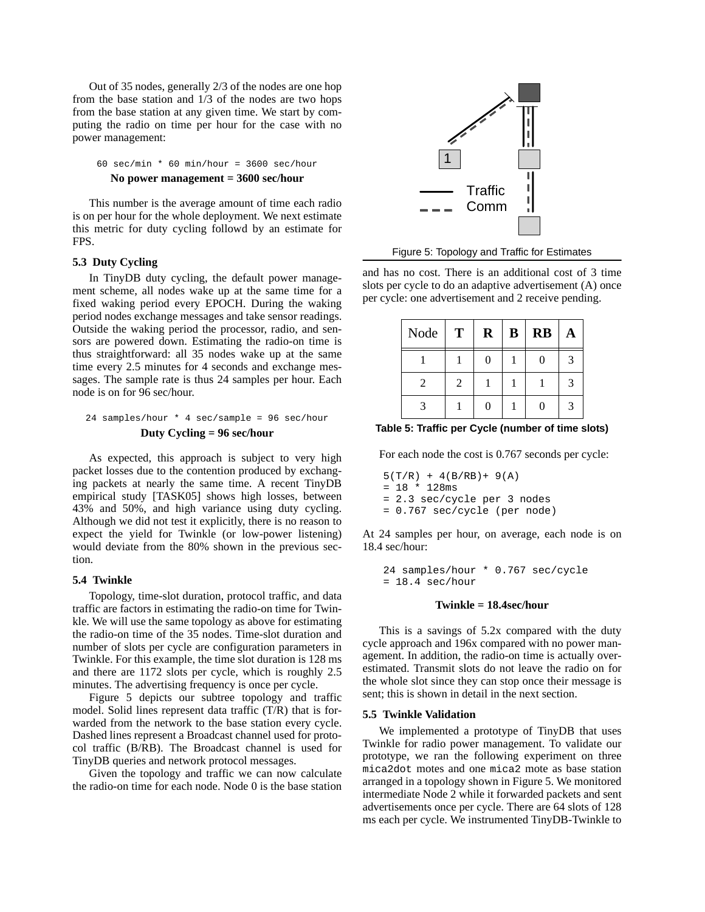Out of 35 nodes, generally 2/3 of the nodes are one hop from the base station and 1/3 of the nodes are two hops from the base station at any given time. We start by computing the radio on time per hour for the case with no power management:

# 60  $sec/min * 60 min/hour = 3600 sec/hour$ **No power management = 3600 sec/hour**

This number is the average amount of time each radio is on per hour for the whole deployment. We next estimate this metric for duty cycling followd by an estimate for FPS.

### **5.3 Duty Cycling**

In TinyDB duty cycling, the default power management scheme, all nodes wake up at the same time for a fixed waking period every EPOCH. During the waking period nodes exchange messages and take sensor readings. Outside the waking period the processor, radio, and sensors are powered down. Estimating the radio-on time is thus straightforward: all 35 nodes wake up at the same time every 2.5 minutes for 4 seconds and exchange messages. The sample rate is thus 24 samples per hour. Each node is on for 96 sec/hour.

# 24 samples/hour \* 4 sec/sample = 96 sec/hour **Duty Cycling = 96 sec/hour**

As expected, this approach is subject to very high packet losses due to the contention produced by exchanging packets at nearly the same time. A recent TinyDB empirical study [TASK05] shows high losses, between 43% and 50%, and high variance using duty cycling. Although we did not test it explicitly, there is no reason to expect the yield for Twinkle (or low-power listening) would deviate from the 80% shown in the previous section.

#### <span id="page-7-1"></span>**5.4 Twinkle**

Topology, time-slot duration, protocol traffic, and data traffic are factors in estimating the radio-on time for Twinkle. We will use the same topology as above for estimating the radio-on time of the 35 nodes. Time-slot duration and number of slots per cycle are configuration parameters in Twinkle. For this example, the time slot duration is 128 ms and there are 1172 slots per cycle, which is roughly 2.5 minutes. The advertising frequency is once per cycle.

[Figure 5](#page-7-2) depicts our subtree topology and traffic model. Solid lines represent data traffic (T/R) that is forwarded from the network to the base station every cycle. Dashed lines represent a Broadcast channel used for protocol traffic (B/RB). The Broadcast channel is used for TinyDB queries and network protocol messages.

Given the topology and traffic we can now calculate the radio-on time for each node. Node 0 is the base station



Figure 5: Topology and Traffic for Estimates

<span id="page-7-2"></span>and has no cost. There is an additional cost of 3 time slots per cycle to do an adaptive advertisement (A) once per cycle: one advertisement and 2 receive pending.

| Node           | T             | $\bf R$ | B | <b>RB</b> | Α             |
|----------------|---------------|---------|---|-----------|---------------|
|                |               | 0       |   |           | $\mathcal{L}$ |
| $\mathfrak{D}$ | $\mathcal{L}$ |         |   |           |               |
| 3              |               | 0       |   |           | 3             |

**Table 5: Traffic per Cycle (number of time slots)**

For each node the cost is 0.767 seconds per cycle:

```
5(T/R) + 4(B/RB) + 9(A)= 18 * 128ms= 2.3 sec/cycle per 3 nodes
= 0.767 sec/cycle (per node)
```
At 24 samples per hour, on average, each node is on 18.4 sec/hour:

```
24 samples/hour * 0.767 sec/cycle
= 18.4 sec/hour
```
#### **Twinkle = 18.4sec/hour**

This is a savings of 5.2x compared with the duty cycle approach and 196x compared with no power management. In addition, the radio-on time is actually overestimated. Transmit slots do not leave the radio on for the whole slot since they can stop once their message is sent; this is shown in detail in the next section.

### <span id="page-7-0"></span>**5.5 Twinkle Validation**

We implemented a prototype of TinyDB that uses Twinkle for radio power management. To validate our prototype, we ran the following experiment on three mica2dot motes and one mica2 mote as base station arranged in a topology shown in [Figure 5.](#page-7-2) We monitored intermediate Node 2 while it forwarded packets and sent advertisements once per cycle. There are 64 slots of 128 ms each per cycle. We instrumented TinyDB-Twinkle to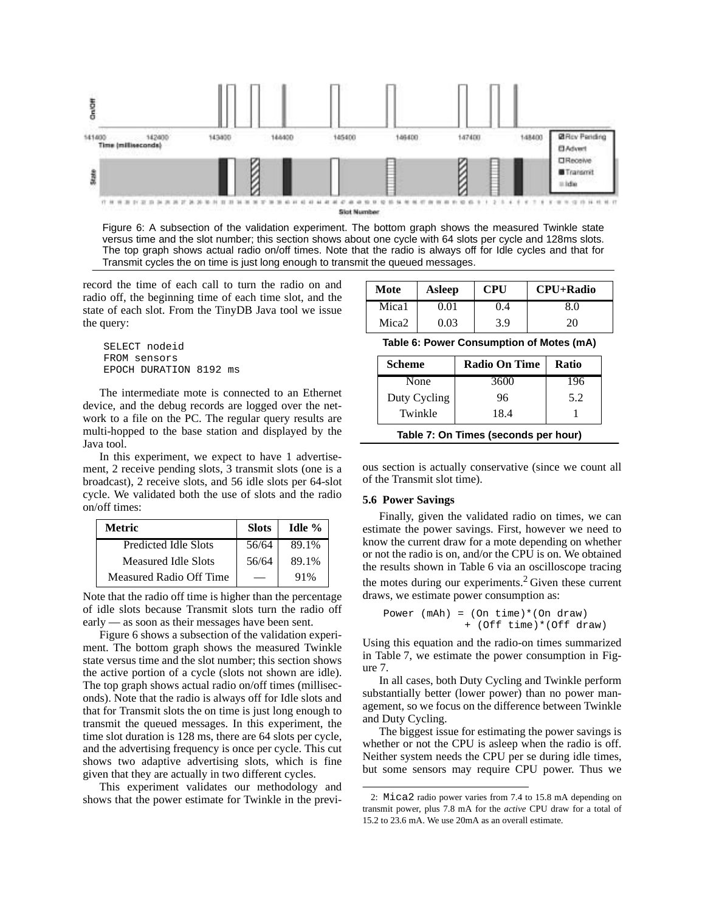

<span id="page-8-0"></span>Figure 6: A subsection of the validation experiment. The bottom graph shows the measured Twinkle state versus time and the slot number; this section shows about one cycle with 64 slots per cycle and 128ms slots. The top graph shows actual radio on/off times. Note that the radio is always off for Idle cycles and that for Transmit cycles the on time is just long enough to transmit the queued messages.

record the time of each call to turn the radio on and radio off, the beginning time of each time slot, and the state of each slot. From the TinyDB Java tool we issue the query:

```
SELECT nodeid
FROM sensors
EPOCH DURATION 8192 ms
```
The intermediate mote is connected to an Ethernet device, and the debug records are logged over the network to a file on the PC. The regular query results are multi-hopped to the base station and displayed by the Java tool.

In this experiment, we expect to have 1 advertisement, 2 receive pending slots, 3 transmit slots (one is a broadcast), 2 receive slots, and 56 idle slots per 64-slot cycle. We validated both the use of slots and the radio on/off times:

| Metric                  | <b>Slots</b> | Idle % |
|-------------------------|--------------|--------|
| Predicted Idle Slots    | 56/64        | 89.1%  |
| Measured Idle Slots     | 56/64        | 89.1%  |
| Measured Radio Off Time |              | 91%    |

Note that the radio off time is higher than the percentage of idle slots because Transmit slots turn the radio off early — as soon as their messages have been sent.

[Figure 6](#page-8-0) shows a subsection of the validation experiment. The bottom graph shows the measured Twinkle state versus time and the slot number; this section shows the active portion of a cycle (slots not shown are idle). The top graph shows actual radio on/off times (milliseconds). Note that the radio is always off for Idle slots and that for Transmit slots the on time is just long enough to transmit the queued messages. In this experiment, the time slot duration is 128 ms, there are 64 slots per cycle, and the advertising frequency is once per cycle. This cut shows two adaptive advertising slots, which is fine given that they are actually in two different cycles.

This experiment validates our methodology and shows that the power estimate for Twinkle in the previ-

| Mote  | <b>Asleep</b> | <b>CPU</b> | $CPU+Radio$ |
|-------|---------------|------------|-------------|
| Mica1 | 0.01          | ).4        |             |
| Mica2 | 0.03          | 3.9        | 20          |

**Table 6: Power Consumption of Motes (mA)**

<span id="page-8-1"></span>

| <b>Scheme</b> | <b>Radio On Time</b> | <b>Ratio</b> |  |
|---------------|----------------------|--------------|--|
| None          | 3600                 | 196          |  |
| Duty Cycling  | 96                   | 5.2          |  |
| Twinkle       | 18.4                 |              |  |

|  | Table 7: On Times (seconds per hour) |
|--|--------------------------------------|
|--|--------------------------------------|

<span id="page-8-2"></span>ous section is actually conservative (since we count all of the Transmit slot time).

#### **5.6 Power Savings**

Finally, given the validated radio on times, we can estimate the power savings. First, however we need to know the current draw for a mote depending on whether or not the radio is on, and/or the CPU is on. We obtained the results shown in [Table 6](#page-8-1) via an oscilloscope tracing the motes during our experiments. $2$  Given these current draws, we estimate power consumption as:

```
Power (mAh) = (On time)*(On draw)
             + (Off time)*(Off draw)
```
Using this equation and the radio-on times summarized in [Table 7,](#page-8-2) we estimate the power consumption in [Fig](#page-9-1)[ure 7](#page-9-1).

In all cases, both Duty Cycling and Twinkle perform substantially better (lower power) than no power management, so we focus on the difference between Twinkle and Duty Cycling.

The biggest issue for estimating the power savings is whether or not the CPU is asleep when the radio is off. Neither system needs the CPU per se during idle times, but some sensors may require CPU power. Thus we

<sup>2:</sup> Mica2 radio power varies from 7.4 to 15.8 mA depending on transmit power, plus 7.8 mA for the *active* CPU draw for a total of 15.2 to 23.6 mA. We use 20mA as an overall estimate.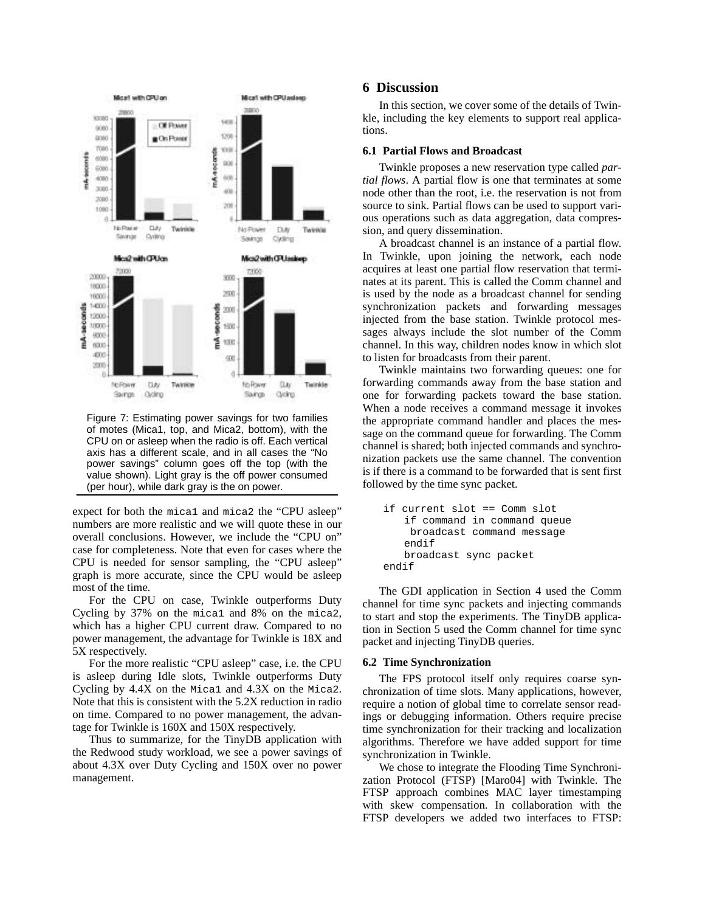

<span id="page-9-1"></span>Figure 7: Estimating power savings for two families of motes (Mica1, top, and Mica2, bottom), with the CPU on or asleep when the radio is off. Each vertical axis has a different scale, and in all cases the "No power savings" column goes off the top (with the value shown). Light gray is the off power consumed (per hour), while dark gray is the on power.

expect for both the mica1 and mica2 the "CPU asleep" numbers are more realistic and we will quote these in our overall conclusions. However, we include the "CPU on" case for completeness. Note that even for cases where the CPU is needed for sensor sampling, the "CPU asleep" graph is more accurate, since the CPU would be asleep most of the time.

For the CPU on case, Twinkle outperforms Duty Cycling by 37% on the mica1 and 8% on the mica2, which has a higher CPU current draw. Compared to no power management, the advantage for Twinkle is 18X and 5X respectively.

For the more realistic "CPU asleep" case, i.e. the CPU is asleep during Idle slots, Twinkle outperforms Duty Cycling by  $4.4X$  on the Mica1 and  $4.3X$  on the Mica2. Note that this is consistent with the 5.2X reduction in radio on time. Compared to no power management, the advantage for Twinkle is 160X and 150X respectively.

Thus to summarize, for the TinyDB application with the Redwood study workload, we see a power savings of about 4.3X over Duty Cycling and 150X over no power management.

# <span id="page-9-0"></span>**6 Discussion**

In this section, we cover some of the details of Twinkle, including the key elements to support real applications.

#### **6.1 Partial Flows and Broadcast**

Twinkle proposes a new reservation type called *partial flows*. A partial flow is one that terminates at some node other than the root, i.e. the reservation is not from source to sink. Partial flows can be used to support various operations such as data aggregation, data compression, and query dissemination.

A broadcast channel is an instance of a partial flow. In Twinkle, upon joining the network, each node acquires at least one partial flow reservation that terminates at its parent. This is called the Comm channel and is used by the node as a broadcast channel for sending synchronization packets and forwarding messages injected from the base station. Twinkle protocol messages always include the slot number of the Comm channel. In this way, children nodes know in which slot to listen for broadcasts from their parent.

Twinkle maintains two forwarding queues: one for forwarding commands away from the base station and one for forwarding packets toward the base station. When a node receives a command message it invokes the appropriate command handler and places the message on the command queue for forwarding. The Comm channel is shared; both injected commands and synchronization packets use the same channel. The convention is if there is a command to be forwarded that is sent first followed by the time sync packet.

```
if current slot == Comm slot
   if command in command queue
     broadcast command message
   endif
   broadcast sync packet
endif
```
The GDI application in Section 4 used the Comm channel for time sync packets and injecting commands to start and stop the experiments. The TinyDB application in Section 5 used the Comm channel for time sync packet and injecting TinyDB queries.

#### **6.2 Time Synchronization**

The FPS protocol itself only requires coarse synchronization of time slots. Many applications, however, require a notion of global time to correlate sensor readings or debugging information. Others require precise time synchronization for their tracking and localization algorithms. Therefore we have added support for time synchronization in Twinkle.

We chose to integrate the Flooding Time Synchronization Protocol (FTSP) [Maro04] with Twinkle. The FTSP approach combines MAC layer timestamping with skew compensation. In collaboration with the FTSP developers we added two interfaces to FTSP: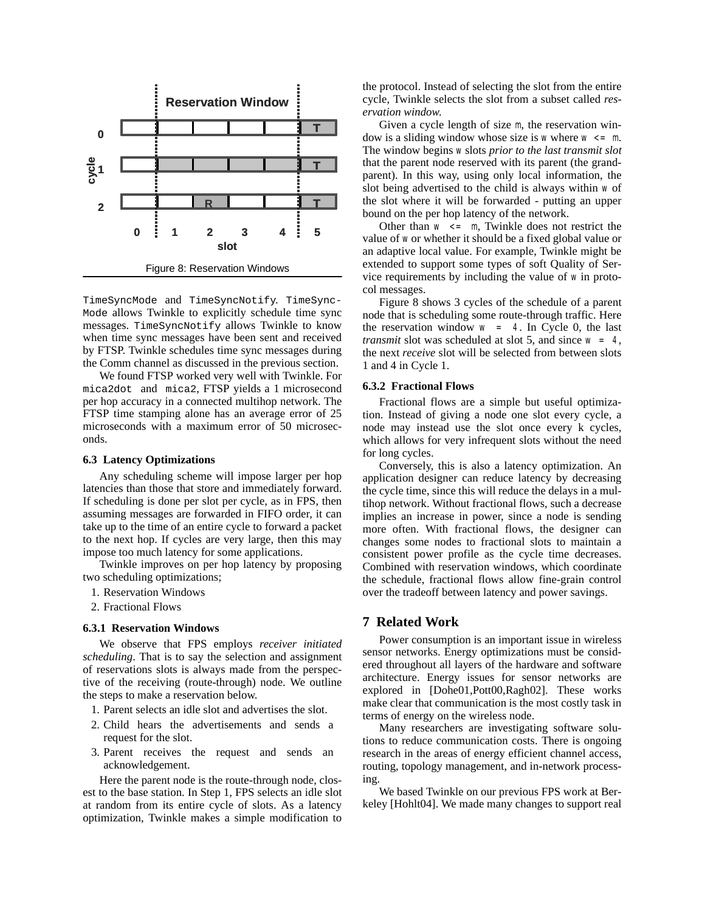

<span id="page-10-1"></span>TimeSyncMode and TimeSyncNotify. TimeSync-Mode allows Twinkle to explicitly schedule time sync messages. TimeSyncNotify allows Twinkle to know when time sync messages have been sent and received by FTSP. Twinkle schedules time sync messages during the Comm channel as discussed in the previous section.

We found FTSP worked very well with Twinkle. For mica2dot and mica2, FTSP yields a 1 microsecond per hop accuracy in a connected multihop network. The FTSP time stamping alone has an average error of 25 microseconds with a maximum error of 50 microseconds.

#### **6.3 Latency Optimizations**

Any scheduling scheme will impose larger per hop latencies than those that store and immediately forward. If scheduling is done per slot per cycle, as in FPS, then assuming messages are forwarded in FIFO order, it can take up to the time of an entire cycle to forward a packet to the next hop. If cycles are very large, then this may impose too much latency for some applications.

Twinkle improves on per hop latency by proposing two scheduling optimizations;

- 1. Reservation Windows
- 2. Fractional Flows

#### **6.3.1 Reservation Windows**

We observe that FPS employs *receiver initiated scheduling*. That is to say the selection and assignment of reservations slots is always made from the perspective of the receiving (route-through) node. We outline the steps to make a reservation below.

- 1. Parent selects an idle slot and advertises the slot.
- 2. Child hears the advertisements and sends a request for the slot.
- 3. Parent receives the request and sends an acknowledgement.

Here the parent node is the route-through node, closest to the base station. In Step 1, FPS selects an idle slot at random from its entire cycle of slots. As a latency

the protocol. Instead of selecting the slot from the entire cycle, Twinkle selects the slot from a subset called *reservation window*.

Given a cycle length of size m, the reservation window is a sliding window whose size is w where  $w \le m$ . The window begins w slots *prior to the last transmit slot* that the parent node reserved with its parent (the grandparent). In this way, using only local information, the slot being advertised to the child is always within w of the slot where it will be forwarded - putting an upper bound on the per hop latency of the network.

Other than  $w \leq m$ , Twinkle does not restrict the value of w or whether it should be a fixed global value or an adaptive local value. For example, Twinkle might be extended to support some types of soft Quality of Service requirements by including the value of w in protocol messages.

[Figure 8](#page-10-1) shows 3 cycles of the schedule of a parent node that is scheduling some route-through traffic. Here the reservation window  $w = 4$ . In Cycle 0, the last *transmit* slot was scheduled at slot 5, and since w = 4, the next *receive* slot will be selected from between slots 1 and 4 in Cycle 1.

#### **6.3.2 Fractional Flows**

Fractional flows are a simple but useful optimization. Instead of giving a node one slot every cycle, a node may instead use the slot once every k cycles, which allows for very infrequent slots without the need for long cycles.

Conversely, this is also a latency optimization. An application designer can reduce latency by decreasing the cycle time, since this will reduce the delays in a multihop network. Without fractional flows, such a decrease implies an increase in power, since a node is sending more often. With fractional flows, the designer can changes some nodes to fractional slots to maintain a consistent power profile as the cycle time decreases. Combined with reservation windows, which coordinate the schedule, fractional flows allow fine-grain control over the tradeoff between latency and power savings.

# <span id="page-10-0"></span>**7 Related Work**

Power consumption is an important issue in wireless sensor networks. Energy optimizations must be considered throughout all layers of the hardware and software architecture. Energy issues for sensor networks are explored in [Dohe01,Pott00,Ragh02]. These works make clear that communication is the most costly task in terms of energy on the wireless node.

Many researchers are investigating software solutions to reduce communication costs. There is ongoing research in the areas of energy efficient channel access, routing, topology management, and in-network processing.

We based Twinkle on our previous FPS work at Berkeley [Hohlt04]. We made many changes to support real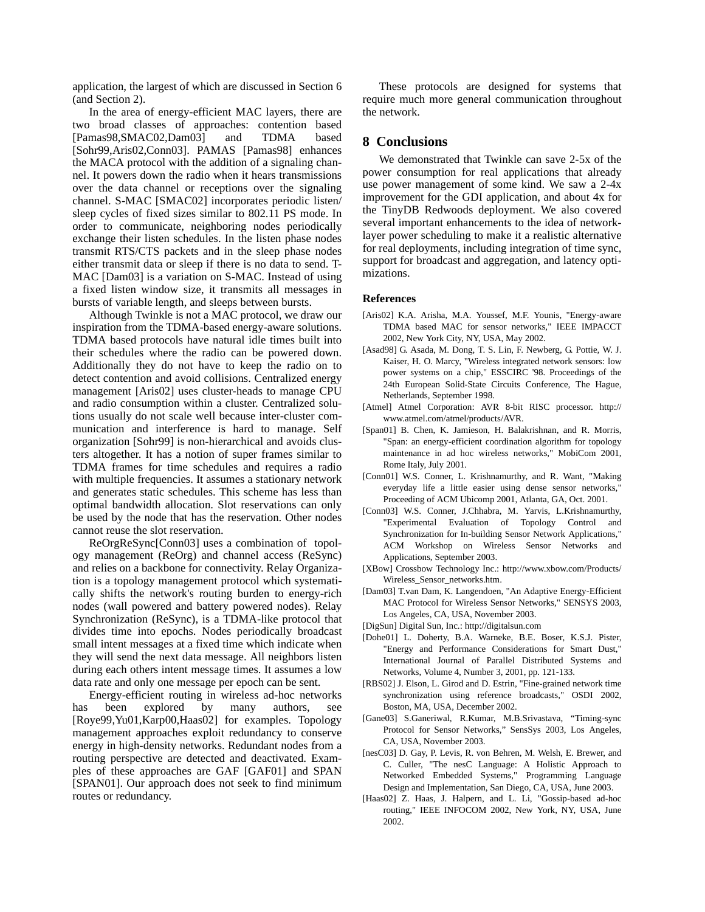application, the largest of which are discussed in Section 6 (and Section 2).

In the area of energy-efficient MAC layers, there are two broad classes of approaches: contention based [Pamas98,SMAC02,Dam03] and TDMA based [Sohr99,Aris02,Conn03]. PAMAS [Pamas98] enhances the MACA protocol with the addition of a signaling channel. It powers down the radio when it hears transmissions over the data channel or receptions over the signaling channel. S-MAC [SMAC02] incorporates periodic listen/ sleep cycles of fixed sizes similar to 802.11 PS mode. In order to communicate, neighboring nodes periodically exchange their listen schedules. In the listen phase nodes transmit RTS/CTS packets and in the sleep phase nodes either transmit data or sleep if there is no data to send. T-MAC [Dam03] is a variation on S-MAC. Instead of using a fixed listen window size, it transmits all messages in bursts of variable length, and sleeps between bursts.

Although Twinkle is not a MAC protocol, we draw our inspiration from the TDMA-based energy-aware solutions. TDMA based protocols have natural idle times built into their schedules where the radio can be powered down. Additionally they do not have to keep the radio on to detect contention and avoid collisions. Centralized energy management [Aris02] uses cluster-heads to manage CPU and radio consumption within a cluster. Centralized solutions usually do not scale well because inter-cluster communication and interference is hard to manage. Self organization [Sohr99] is non-hierarchical and avoids clusters altogether. It has a notion of super frames similar to TDMA frames for time schedules and requires a radio with multiple frequencies. It assumes a stationary network and generates static schedules. This scheme has less than optimal bandwidth allocation. Slot reservations can only be used by the node that has the reservation. Other nodes cannot reuse the slot reservation.

ReOrgReSync[Conn03] uses a combination of topology management (ReOrg) and channel access (ReSync) and relies on a backbone for connectivity. Relay Organization is a topology management protocol which systematically shifts the network's routing burden to energy-rich nodes (wall powered and battery powered nodes). Relay Synchronization (ReSync), is a TDMA-like protocol that divides time into epochs. Nodes periodically broadcast small intent messages at a fixed time which indicate when they will send the next data message. All neighbors listen during each others intent message times. It assumes a low data rate and only one message per epoch can be sent.

Energy-efficient routing in wireless ad-hoc networks has been explored by many authors, [Roye99,Yu01,Karp00,Haas02] for examples. Topology management approaches exploit redundancy to conserve energy in high-density networks. Redundant nodes from a routing perspective are detected and deactivated. Examples of these approaches are GAF [GAF01] and SPAN [SPAN01]. Our approach does not seek to find minimum routes or redundancy.

These protocols are designed for systems that require much more general communication throughout the network.

### <span id="page-11-0"></span>**8 Conclusions**

We demonstrated that Twinkle can save 2-5x of the power consumption for real applications that already use power management of some kind. We saw a 2-4x improvement for the GDI application, and about 4x for the TinyDB Redwoods deployment. We also covered several important enhancements to the idea of networklayer power scheduling to make it a realistic alternative for real deployments, including integration of time sync, support for broadcast and aggregation, and latency optimizations.

#### **References**

- [Aris02] K.A. Arisha, M.A. Youssef, M.F. Younis, "Energy-aware TDMA based MAC for sensor networks," IEEE IMPACCT 2002, New York City, NY, USA, May 2002.
- [Asad98] G. Asada, M. Dong, T. S. Lin, F. Newberg, G. Pottie, W. J. Kaiser, H. O. Marcy, "Wireless integrated network sensors: low power systems on a chip," ESSCIRC '98. Proceedings of the 24th European Solid-State Circuits Conference, The Hague, Netherlands, September 1998.
- [Atmel] Atmel Corporation: AVR 8-bit RISC processor. http:// www.atmel.com/atmel/products/AVR.
- [Span01] B. Chen, K. Jamieson, H. Balakrishnan, and R. Morris, "Span: an energy-efficient coordination algorithm for topology maintenance in ad hoc wireless networks," MobiCom 2001, Rome Italy, July 2001.
- [Conn01] W.S. Conner, L. Krishnamurthy, and R. Want, "Making everyday life a little easier using dense sensor networks," Proceeding of ACM Ubicomp 2001, Atlanta, GA, Oct. 2001.
- [Conn03] W.S. Conner, J.Chhabra, M. Yarvis, L.Krishnamurthy, "Experimental Evaluation of Topology Control and Synchronization for In-building Sensor Network Applications," ACM Workshop on Wireless Sensor Networks and Applications, September 2003.
- [XBow] Crossbow Technology Inc.: http://www.xbow.com/Products/ Wireless\_Sensor\_networks.htm.
- [Dam03] T.van Dam, K. Langendoen, "An Adaptive Energy-Efficient MAC Protocol for Wireless Sensor Networks," SENSYS 2003, Los Angeles, CA, USA, November 2003.
- [DigSun] Digital Sun, Inc.: http://digitalsun.com
- [Dohe01] L. Doherty, B.A. Warneke, B.E. Boser, K.S.J. Pister, "Energy and Performance Considerations for Smart Dust," International Journal of Parallel Distributed Systems and Networks, Volume 4, Number 3, 2001, pp. 121-133.
- [RBS02] J. Elson, L. Girod and D. Estrin, "Fine-grained network time synchronization using reference broadcasts," OSDI 2002, Boston, MA, USA, December 2002.
- [Gane03] S.Ganeriwal, R.Kumar, M.B.Srivastava, "Timing-sync Protocol for Sensor Networks," SensSys 2003, Los Angeles, CA, USA, November 2003.
- [nesC03] D. Gay, P. Levis, R. von Behren, M. Welsh, E. Brewer, and C. Culler, "The nesC Language: A Holistic Approach to Networked Embedded Systems," Programming Language Design and Implementation, San Diego, CA, USA, June 2003.
- [Haas02] Z. Haas, J. Halpern, and L. Li, "Gossip-based ad-hoc routing," IEEE INFOCOM 2002, New York, NY, USA, June 2002.